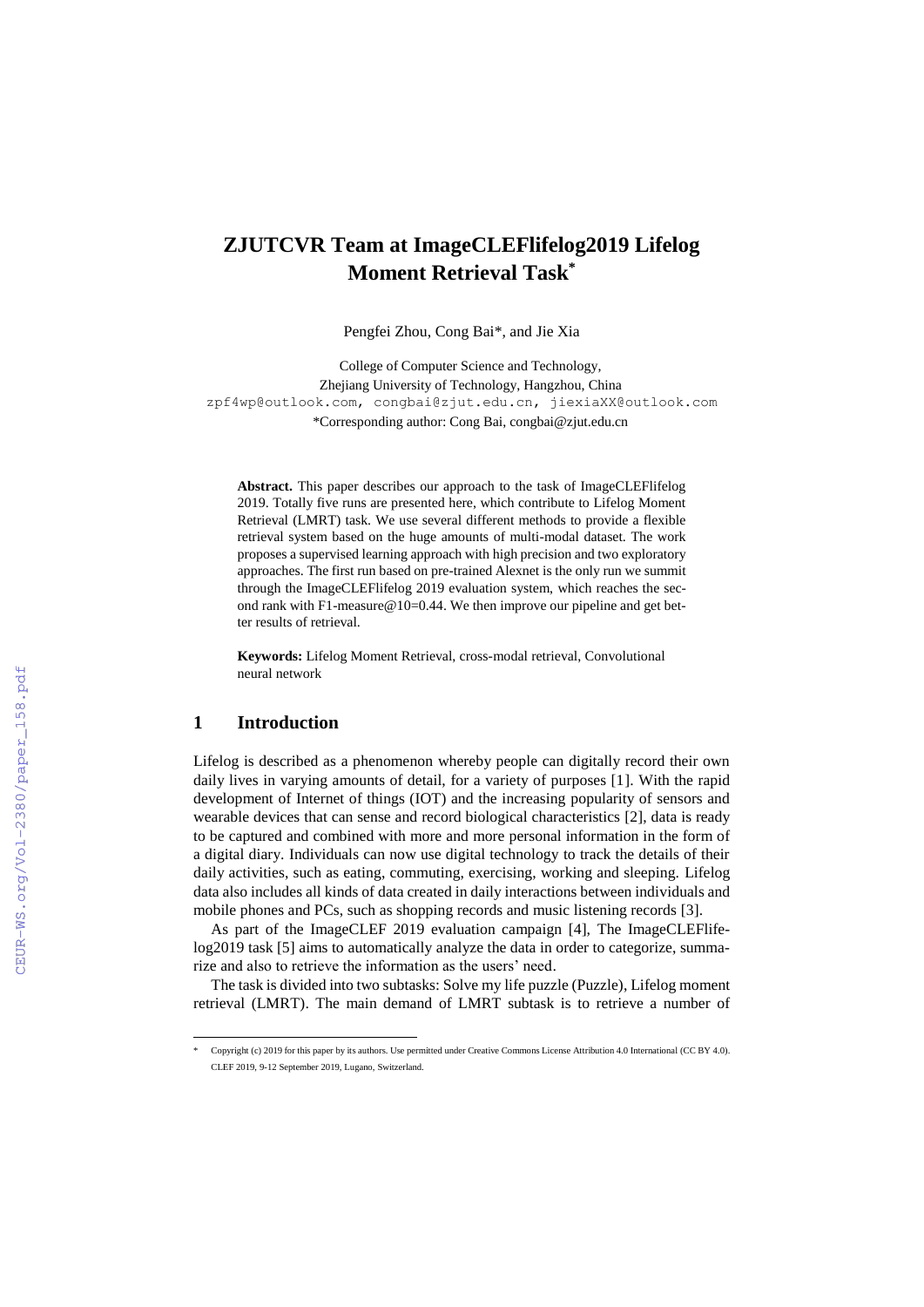# **ZJUTCVR Team at ImageCLEFlifelog2019 Lifelog Moment Retrieval Task\***

Pengfei Zhou, Cong Bai\*, and Jie Xia

College of Computer Science and Technology, Zhejiang University of Technology, Hangzhou, China zpf4wp@outlook.com, congbai@zjut.edu.cn, jiexiaXX@outlook.com \*Corresponding author: Cong Bai, congbai@zjut.edu.cn

**Abstract.** This paper describes our approach to the task of ImageCLEFlifelog 2019. Totally five runs are presented here, which contribute to Lifelog Moment Retrieval (LMRT) task. We use several different methods to provide a flexible retrieval system based on the huge amounts of multi-modal dataset. The work proposes a supervised learning approach with high precision and two exploratory approaches. The first run based on pre-trained Alexnet is the only run we summit through the ImageCLEFlifelog 2019 evaluation system, which reaches the second rank with F1-measure  $@10=0.44$ . We then improve our pipeline and get better results of retrieval.

**Keywords:** Lifelog Moment Retrieval, cross-modal retrieval, Convolutional neural network

### **1 Introduction**

 $\overline{a}$ 

Lifelog is described as a phenomenon whereby people can digitally record their own daily lives in varying amounts of detail, for a variety of purposes [1]. With the rapid development of Internet of things (IOT) and the increasing popularity of sensors and wearable devices that can sense and record biological characteristics [2], data is ready to be captured and combined with more and more personal information in the form of a digital diary. Individuals can now use digital technology to track the details of their daily activities, such as eating, commuting, exercising, working and sleeping. Lifelog data also includes all kinds of data created in daily interactions between individuals and mobile phones and PCs, such as shopping records and music listening records [3].

As part of the ImageCLEF 2019 evaluation campaign [4], The ImageCLEFlifelog2019 task [5] aims to automatically analyze the data in order to categorize, summarize and also to retrieve the information as the users' need.

The task is divided into two subtasks: Solve my life puzzle (Puzzle), Lifelog moment retrieval (LMRT). The main demand of LMRT subtask is to retrieve a number of

<sup>\*</sup> Copyright (c) 2019 for this paper by its authors. Use permitted under Creative Commons License Attribution 4.0 International (CC BY 4.0). CLEF 2019, 9-12 September 2019, Lugano, Switzerland.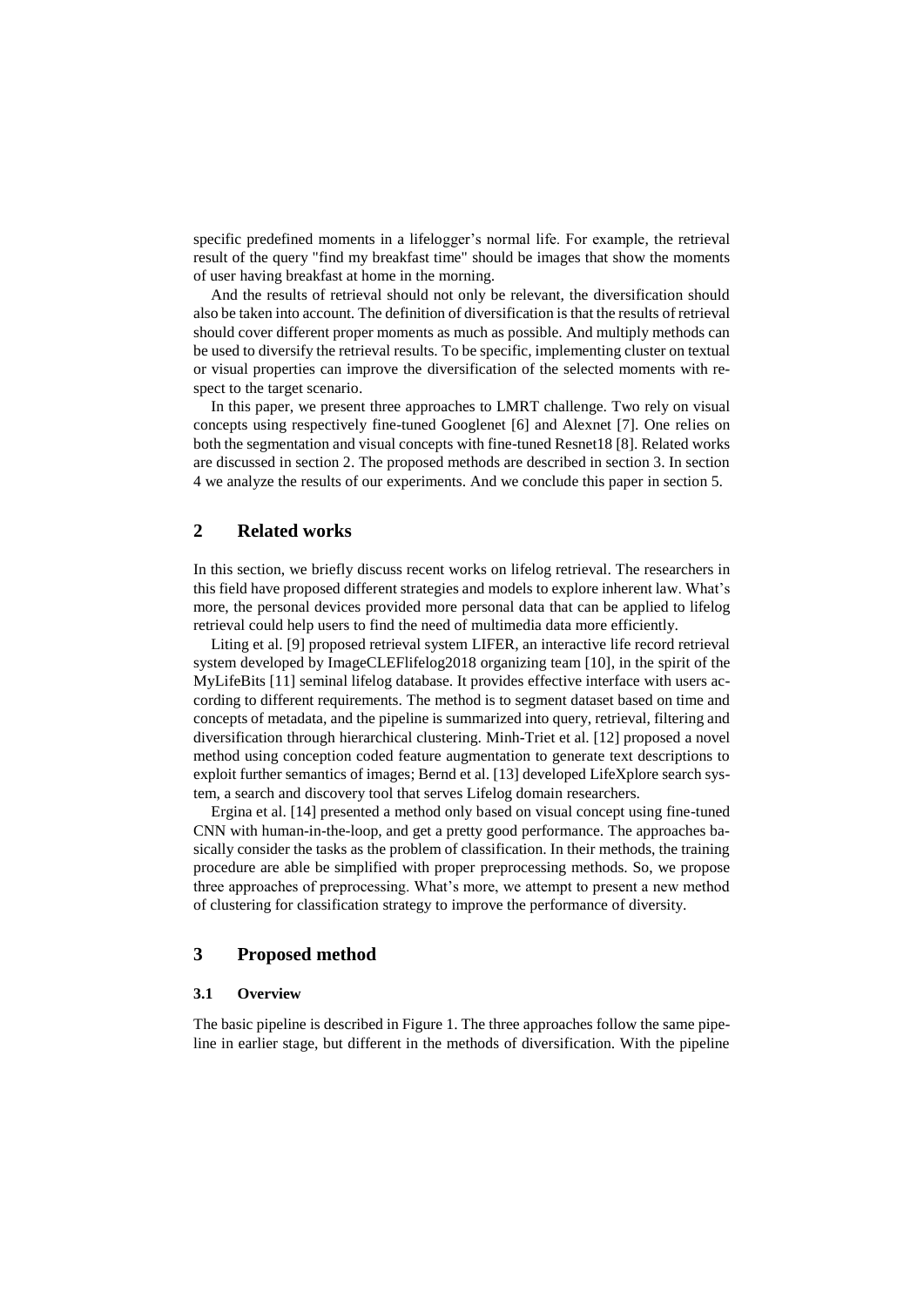specific predefined moments in a lifelogger's normal life. For example, the retrieval result of the query "find my breakfast time" should be images that show the moments of user having breakfast at home in the morning.

And the results of retrieval should not only be relevant, the diversification should also be taken into account. The definition of diversification is that the results of retrieval should cover different proper moments as much as possible. And multiply methods can be used to diversify the retrieval results. To be specific, implementing cluster on textual or visual properties can improve the diversification of the selected moments with respect to the target scenario.

In this paper, we present three approaches to LMRT challenge. Two rely on visual concepts using respectively fine-tuned Googlenet [6] and Alexnet [7]. One relies on both the segmentation and visual concepts with fine-tuned Resnet18 [8]. Related works are discussed in section 2. The proposed methods are described in section 3. In section 4 we analyze the results of our experiments. And we conclude this paper in section 5.

### **2 Related works**

In this section, we briefly discuss recent works on lifelog retrieval. The researchers in this field have proposed different strategies and models to explore inherent law. What's more, the personal devices provided more personal data that can be applied to lifelog retrieval could help users to find the need of multimedia data more efficiently.

Liting et al. [9] proposed retrieval system LIFER, an interactive life record retrieval system developed by ImageCLEFlifelog2018 organizing team [10], in the spirit of the MyLifeBits [11] seminal lifelog database. It provides effective interface with users according to different requirements. The method is to segment dataset based on time and concepts of metadata, and the pipeline is summarized into query, retrieval, filtering and diversification through hierarchical clustering. Minh-Triet et al. [12] proposed a novel method using conception coded feature augmentation to generate text descriptions to exploit further semantics of images; Bernd et al. [13] developed LifeXplore search system, a search and discovery tool that serves Lifelog domain researchers.

Ergina et al. [14] presented a method only based on visual concept using fine-tuned CNN with human-in-the-loop, and get a pretty good performance. The approaches basically consider the tasks as the problem of classification. In their methods, the training procedure are able be simplified with proper preprocessing methods. So, we propose three approaches of preprocessing. What's more, we attempt to present a new method of clustering for classification strategy to improve the performance of diversity.

### **3 Proposed method**

### **3.1 Overview**

The basic pipeline is described in Figure 1. The three approaches follow the same pipeline in earlier stage, but different in the methods of diversification. With the pipeline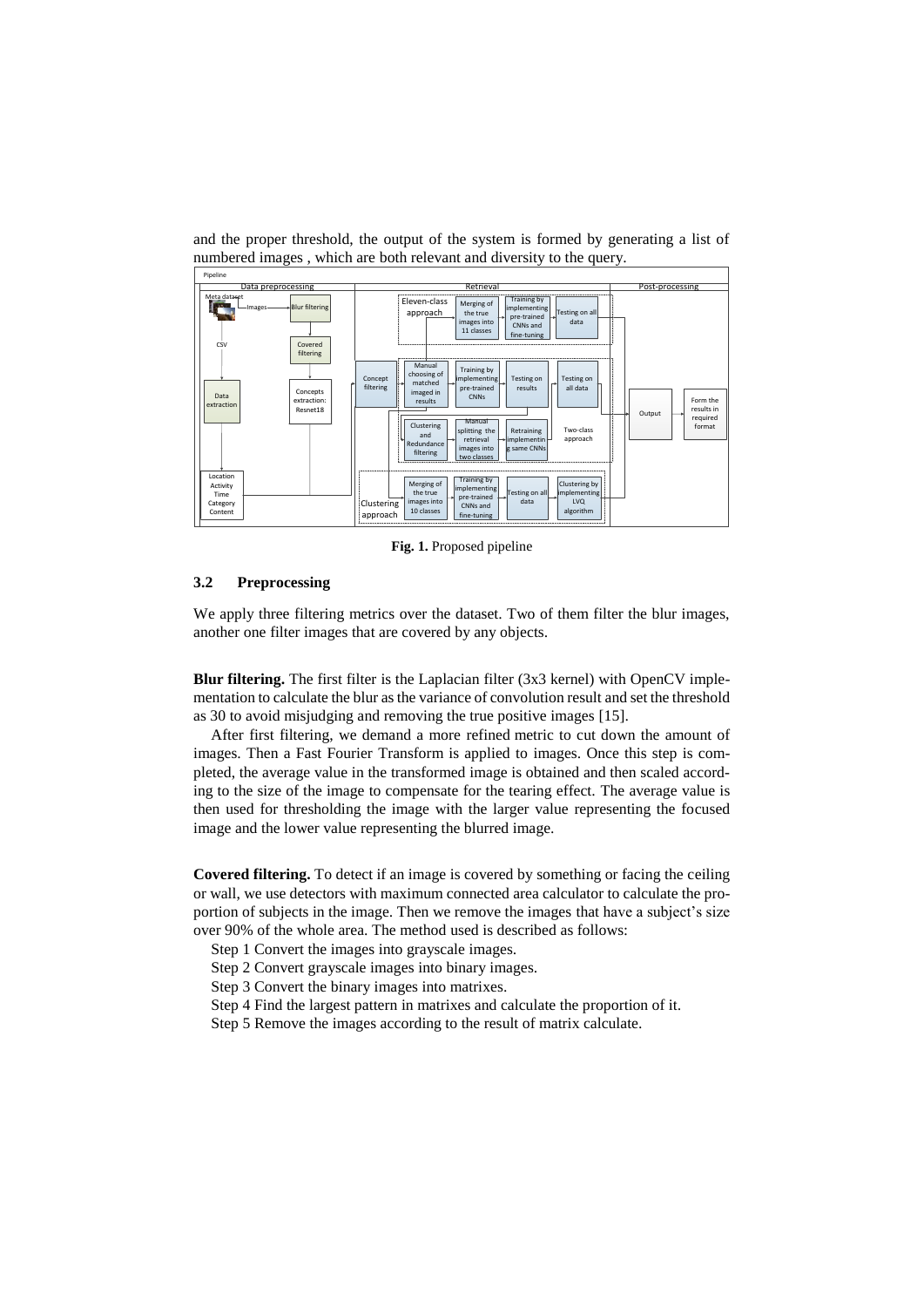

and the proper threshold, the output of the system is formed by generating a list of [numbered](file:///C:/Users/å¨é¹é£/AppData/Local/Youdao/dict/Application/7.5.2.0/resultui/dict/) images , which are both relevant and diversity to the query.

**Fig. 1.** Proposed pipeline

#### **3.2 Preprocessing**

We apply three filtering metrics over the dataset. Two of them filter the blur images, another one filter images that are covered by any objects.

**Blur filtering.** The first filter is the Laplacian filter (3x3 kernel) with OpenCV implementation to calculate the blur as the variance of convolution result and set the threshold as 30 to avoid misjudging and removing the true positive images [15].

After first filtering, we demand a more [refined](file:///C:/Users/å¨é¹é£/AppData/Local/Youdao/dict/Application/7.5.2.0/resultui/dict/) metric to cut down the amount of images. Then a Fast Fourier Transform is applied to images. Once this step is completed, the average value in the transformed image is obtained and then scaled according to the size of the image to compensate for the tearing effect. The average value is then used for thresholding the image with the larger value representing the focused image and the lower value representing the blurred image.

**Covered filtering.** To detect if an image is covered by something or facing the ceiling or wall, we use detectors with maximum connected area calculator to calculate the proportion of subjects in the image. Then we remove the images that have a subject's size over 90% of the whole area. The method used is described as follows:

- Step 1 Convert the images into grayscale images.
- Step 2 Convert grayscale images into binary images.
- Step 3 Convert the binary images into matrixes.
- Step 4 Find the largest pattern in matrixes and calculate the proportion of it.
- Step 5 Remove the images according to the result of matrix calculate.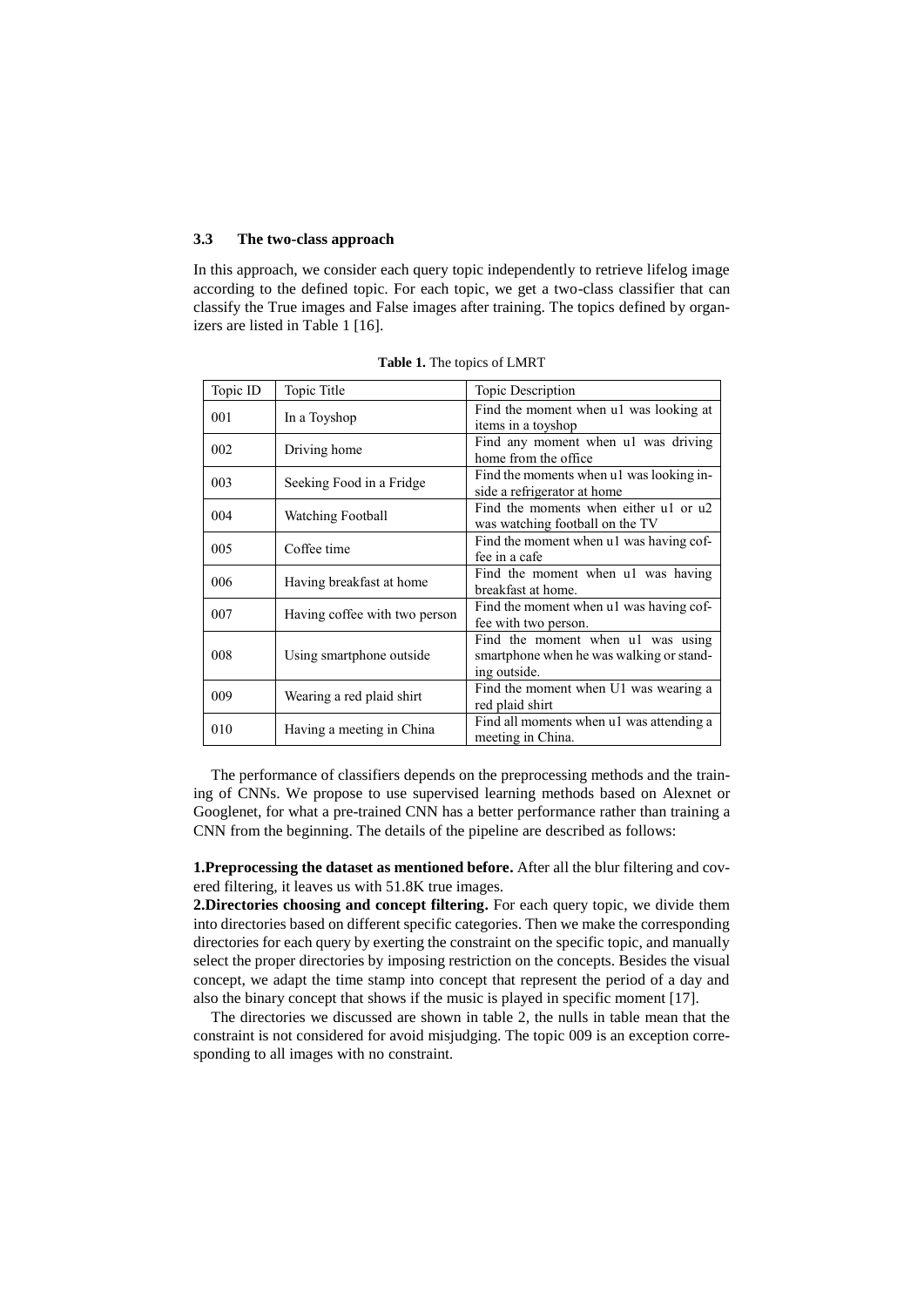#### **3.3 The two-class approach**

In this approach, we consider each query topic independently to retrieve lifelog image according to the defined topic. For each topic, we get a two-class classifier that can classify the True images and False images after training. The topics defined by organizers are listed in Table 1 [16].

| Topic ID | Topic Title                   | Topic Description                                                                             |  |  |  |
|----------|-------------------------------|-----------------------------------------------------------------------------------------------|--|--|--|
| 001      | In a Toyshop                  | Find the moment when u1 was looking at<br>items in a toyshop                                  |  |  |  |
| 002      | Driving home                  | Find any moment when ul was driving<br>home from the office                                   |  |  |  |
| 003      | Seeking Food in a Fridge      | Find the moments when u1 was looking in-<br>side a refrigerator at home                       |  |  |  |
| 004      | Watching Football             | Find the moments when either ul or u2<br>was watching football on the TV                      |  |  |  |
| 005      | Coffee time                   | Find the moment when ul was having cof-<br>fee in a cafe                                      |  |  |  |
| 006      | Having breakfast at home      | Find the moment when ul was having<br>breakfast at home.                                      |  |  |  |
| 007      | Having coffee with two person | Find the moment when u1 was having cof-<br>fee with two person.                               |  |  |  |
| 008      | Using smartphone outside      | Find the moment when ul was using<br>smartphone when he was walking or stand-<br>ing outside. |  |  |  |
| 009      | Wearing a red plaid shirt     | Find the moment when U1 was wearing a<br>red plaid shirt                                      |  |  |  |
| 010      | Having a meeting in China     | Find all moments when ul was attending a<br>meeting in China.                                 |  |  |  |

**Table 1.** The topics of LMRT

The performance of classifiers depends on the preprocessing methods and the training of CNNs. We propose to use supervised learning methods based on Alexnet or Googlenet, for what a pre-trained CNN has a better performance rather than training a CNN from the beginning. The details of the pipeline are described as follows:

**1.Preprocessing the dataset as mentioned before.** After all the blur filtering and covered filtering, it leaves us with 51.8K true images.

**2.Directories choosing and concept filtering.** For each query topic, we divide them into directories based on different specific categories. Then we make the corresponding directories for each query by exerting the constraint on the specific topic, and manually select the proper directories by imposing restriction on the concepts. Besides the visual concept, we adapt the time stamp into concept that represent the period of a day and also the binary concept that shows if the music is played in specific moment [17].

The directories we discussed are shown in table 2, the nulls in table mean that the [constraint](file:///C:/Users/å¨é¹é£/AppData/Local/Youdao/dict/Application/7.5.2.0/resultui/dict/) is not considered for avoid misjudging. The topic 009 is an exception corresponding to all images with no constraint.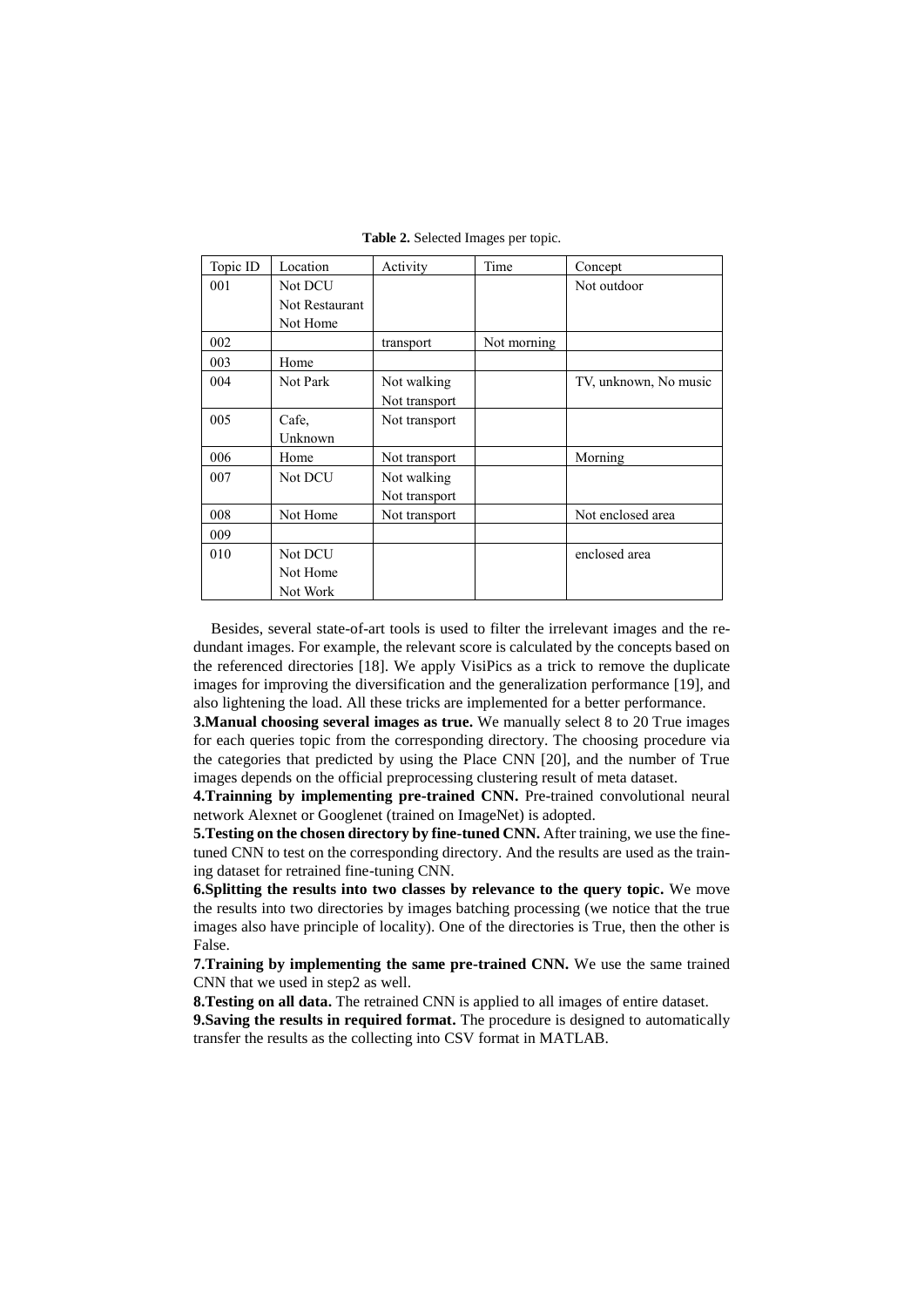| Topic ID | Location       | Activity      | Time        | Concept               |
|----------|----------------|---------------|-------------|-----------------------|
| 001      | Not DCU        |               |             | Not outdoor           |
|          | Not Restaurant |               |             |                       |
|          | Not Home       |               |             |                       |
| 002      |                | transport     | Not morning |                       |
| 003      | Home           |               |             |                       |
| 004      | Not Park       | Not walking   |             | TV, unknown, No music |
|          |                | Not transport |             |                       |
| 005      | Cafe,          | Not transport |             |                       |
|          | Unknown        |               |             |                       |
| 006      | Home           | Not transport |             | Morning               |
| 007      | Not DCU        | Not walking   |             |                       |
|          |                | Not transport |             |                       |
| 008      | Not Home       | Not transport |             | Not enclosed area     |
| 009      |                |               |             |                       |
| 010      | Not DCU        |               |             | enclosed area         |
|          | Not Home       |               |             |                       |
|          | Not Work       |               |             |                       |

**Table 2.** Selected Images per topic.

Besides, several state-of-art tools is used to filter the irrelevant images and the redundant images. For example, the relevant score is calculated by the concepts based on the referenced directories [18]. We apply VisiPics as a trick to remove the duplicate images for improving the diversification and the generalization performance [19], and also lightening the load. All these tricks are implemented for a better performance.

**3.Manual choosing several images as true.** We manually select 8 to 20 True images for each queries topic from the corresponding directory. The choosing procedure via the categories that predicted by using the Place CNN [20], and the number of True images depends on the official preprocessing clustering result of meta dataset.

**4.Trainning by implementing pre-trained CNN.** Pre-trained convolutional neural network Alexnet or Googlenet (trained on ImageNet) is adopted.

**5. Testing on the chosen directory by fine-tuned CNN.** After training, we use the finetuned CNN to test on the corresponding directory. And the results are used as the training dataset for retrained fine-tuning CNN.

**6.Splitting the results into two classes by relevance to the query topic.** We move the results into two directories by images batching processing (we notice that the true images also have principle of locality). One of the directories is True, then the other is False.

**7.Training by implementing the same pre-trained CNN.** We use the same trained CNN that we used in step2 as well.

**8.Testing on all data.** The retrained CNN is applied to all images of entire dataset.

**9.Saving the results in required format.** The procedure is designed to automatically transfer the results as the collecting into CSV format in MATLAB.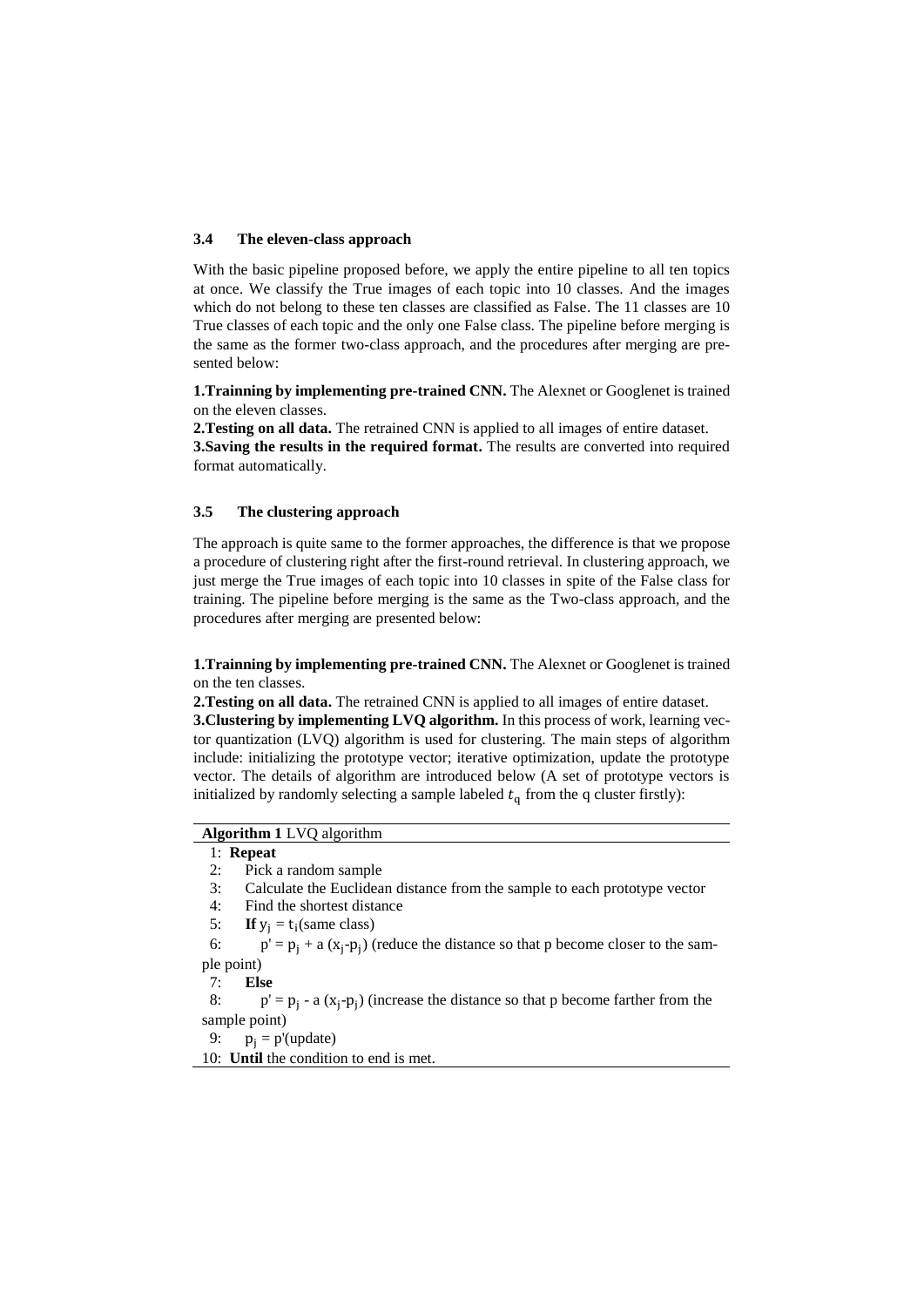#### **3.4 The eleven-class approach**

With the basic pipeline proposed before, we apply the entire pipeline to all ten topics at once. We classify the True images of each topic into 10 classes. And the images which do not belong to these ten classes are classified as False. The 11 classes are 10 True classes of each topic and the only one False class. The pipeline before merging is the same as the former two-class approach, and the procedures after merging are presented below:

**1.Trainning by implementing pre-trained CNN.** The Alexnet or Googlenet is trained on the eleven classes.

**2.Testing on all data.** The retrained CNN is applied to all images of entire dataset. **3.Saving the results in the required format.** The results are converted into required format automatically.

#### **3.5 The clustering approach**

The approach is quite same to the former approaches, the difference is that we propose a procedure of clustering right after the first-round retrieval. In clustering approach, we just merge the True images of each topic into 10 classes in spite of the False class for training. The pipeline before merging is the same as the Two-class approach, and the procedures after merging are presented below:

**1.Trainning by implementing pre-trained CNN.** The Alexnet or Googlenet is trained on the ten classes.

**2.Testing on all data.** The retrained CNN is applied to all images of entire dataset.

**3.Clustering by implementing LVQ algorithm.** In this process of work, learning vector quantization (LVQ) algorithm is used for clustering. The main steps of algorithm include: initializing the prototype vector; iterative optimization, update the prototype vector. The details of algorithm are introduced below (A set of prototype vectors is initialized by randomly selecting a sample labeled  $t<sub>q</sub>$  from the q cluster firstly):

### **Algorithm 1** LVQ algorithm

#### 1: **Repeat**

- 2: Pick a random sample
- 3: Calculate the Euclidean [distance](file:///C:/Users/å¨é¹é£/AppData/Local/Youdao/dict/Application/7.5.2.0/resultui/dict/) from the sample to each prototype vector
- 4: Find the shortest distance
- 5: **If**  $y_j = t_i$  (same class)

6:  $p' = p_j + a(x_j - p_j)$  (reduce the distance so that p become closer to the sample point)

7: **Else**

8:  $p' = p_j - a(x_j - p_j)$  (increase the distance so that p become farther from the sample point)

9:  $p_i = p'(\text{update})$ 

10: **Until** the condition to end is met.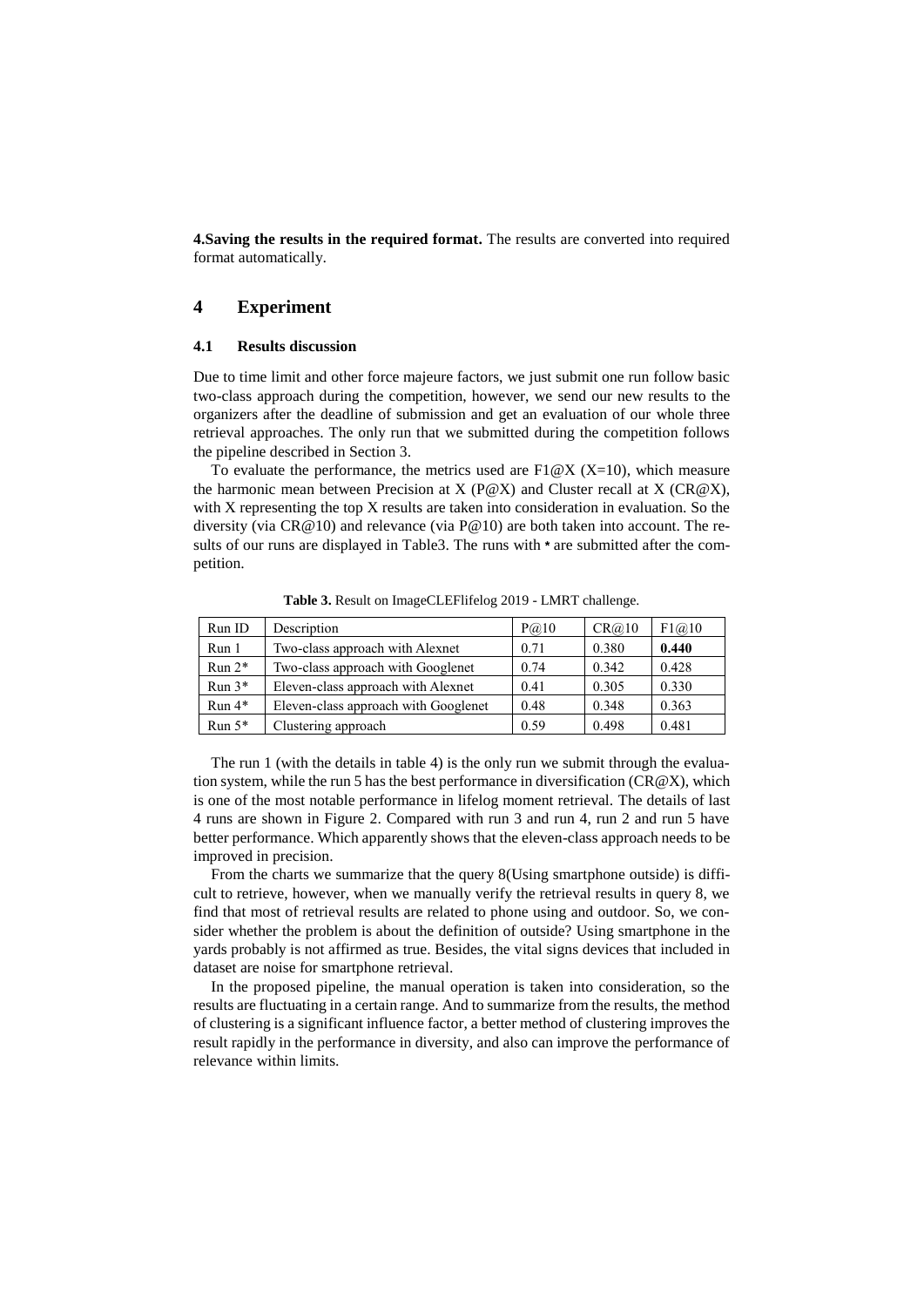**4.Saving the results in the required format.** The results are converted into required format automatically.

### **4 Experiment**

#### **4.1 Results discussion**

Due to time limit and other [force](file:///C:/Users/å¨é¹é£/AppData/Local/Youdao/dict/Application/7.5.2.0/resultui/dict/) [majeure](file:///C:/Users/å¨é¹é£/AppData/Local/Youdao/dict/Application/7.5.2.0/resultui/dict/) [factors,](file:///C:/Users/å¨é¹é£/AppData/Local/Youdao/dict/Application/7.5.2.0/resultui/dict/) we just submit one run follow basic two-class approach during the competition, however, we send our new results to the organizers after the deadline of submission and get an evaluation of our whole three retrieval approaches. The only run that we submitted during the competition follows the pipeline described in Section 3.

To evaluate the performance, the metrics used are  $F1@X$  (X=10), which measure the harmonic mean between Precision at X (P@X) and Cluster recall at X (CR@X), with X representing the top X results are taken into consideration in evaluation. So the diversity (via  $CR@10$ ) and relevance (via  $P@10$ ) are both taken into account. The results of our runs are displayed in Table3. The runs with **\*** are submitted after the competition.

| Run ID   | Description                          | P@10 | CR@10 | F1@10 |
|----------|--------------------------------------|------|-------|-------|
| Run 1    | Two-class approach with Alexnet      | 0.71 | 0.380 | 0.440 |
| $Run 2*$ | Two-class approach with Googlenet    | 0.74 | 0.342 | 0.428 |
| $Run 3*$ | Eleven-class approach with Alexnet   | 0.41 | 0.305 | 0.330 |
| $Run 4*$ | Eleven-class approach with Googlenet | 0.48 | 0.348 | 0.363 |
| Run $5*$ | Clustering approach                  | 0.59 | 0.498 | 0.481 |

**Table 3.** Result on ImageCLEFlifelog 2019 - LMRT challenge.

The run 1 (with the details in table 4) is the only run we submit through the evaluation system, while the run 5 has the best performance in diversification  $(CR@X)$ , which is one of the most notable performance in lifelog moment retrieval. The details of last 4 runs are shown in Figure 2. Compared with run 3 and run 4, run 2 and run 5 have better performance. Which apparently shows that the eleven-class approach needs to be improved in precision.

From the charts we summarize that the query 8(Using smartphone outside) is difficult to retrieve, however, when we manually verify the retrieval results in query 8, we find that most of retrieval results are related to phone using and outdoor. So, we consider whether the problem is about the definition of outside? Using smartphone in the yards probably is not affirmed as true. Besides, the vital signs devices that included in dataset are noise for smartphone retrieval.

In the proposed pipeline, the manual operation is taken into consideration, so the results are fluctuating in a certain range. And to summarize from the results, the method of clustering is a significant influence factor, a better method of clustering improves the result rapidly in the performance in diversity, and also can improve the performance of relevance within limits.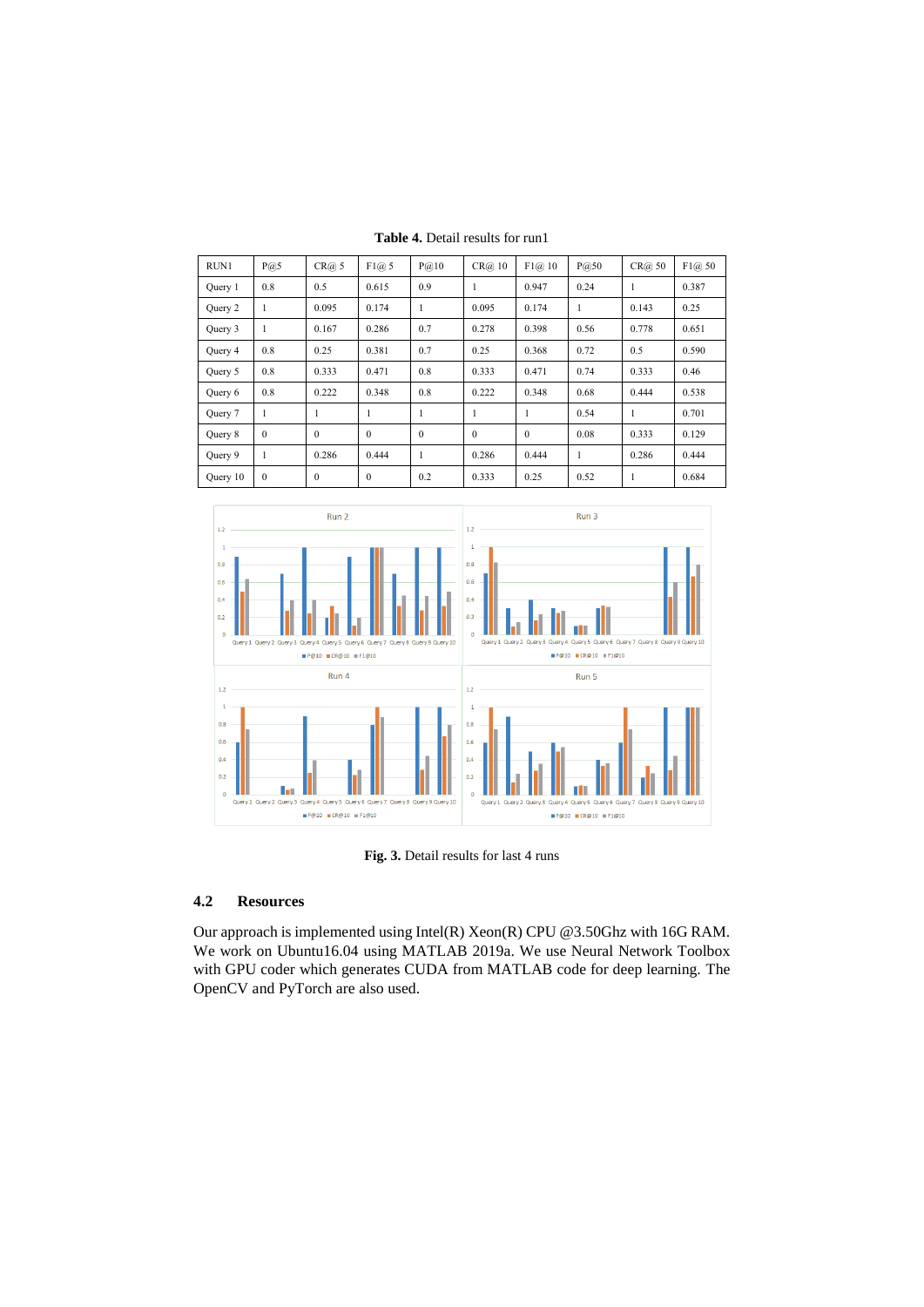| RUN1     | P@5          | CR@5         | F1@5         | $P(\widehat{\omega}, 10)$ | CR@10        | F1@10        | P@50 | CR@50 | F1@50 |
|----------|--------------|--------------|--------------|---------------------------|--------------|--------------|------|-------|-------|
| Ouery 1  | 0.8          | 0.5          | 0.615        | 0.9                       | J.           | 0.947        | 0.24 | 1     | 0.387 |
| Query 2  | 1            | 0.095        | 0.174        | 1                         | 0.095        | 0.174        | 1    | 0.143 | 0.25  |
| Query 3  | 1            | 0.167        | 0.286        | 0.7                       | 0.278        | 0.398        | 0.56 | 0.778 | 0.651 |
| Ouery 4  | 0.8          | 0.25         | 0.381        | 0.7                       | 0.25         | 0.368        | 0.72 | 0.5   | 0.590 |
| Query 5  | 0.8          | 0.333        | 0.471        | 0.8                       | 0.333        | 0.471        | 0.74 | 0.333 | 0.46  |
| Query 6  | 0.8          | 0.222        | 0.348        | 0.8                       | 0.222        | 0.348        | 0.68 | 0.444 | 0.538 |
| Query 7  | 1            | 1            | $\mathbf{1}$ | 1                         | ш            | 1            | 0.54 | 1     | 0.701 |
| Query 8  | $\mathbf{0}$ | $\theta$     | $\mathbf{0}$ | $\mathbf{0}$              | $\mathbf{0}$ | $\mathbf{0}$ | 0.08 | 0.333 | 0.129 |
| Ouery 9  | 1            | 0.286        | 0.444        | 1                         | 0.286        | 0.444        | 1    | 0.286 | 0.444 |
| Query 10 | $\mathbf{0}$ | $\mathbf{0}$ | $\mathbf{0}$ | 0.2                       | 0.333        | 0.25         | 0.52 | 1     | 0.684 |

**Table 4.** Detail results for run1



**Fig. 3.** Detail results for last 4 runs

### **4.2 Resources**

Our approach is implemented using Intel(R) Xeon(R) CPU @3.50Ghz with 16G RAM. We work on Ubuntu16.04 using MATLAB 2019a. We use Neural Network Toolbox with GPU coder which generates CUDA from MATLAB code for deep learning. The OpenCV and PyTorch are also used.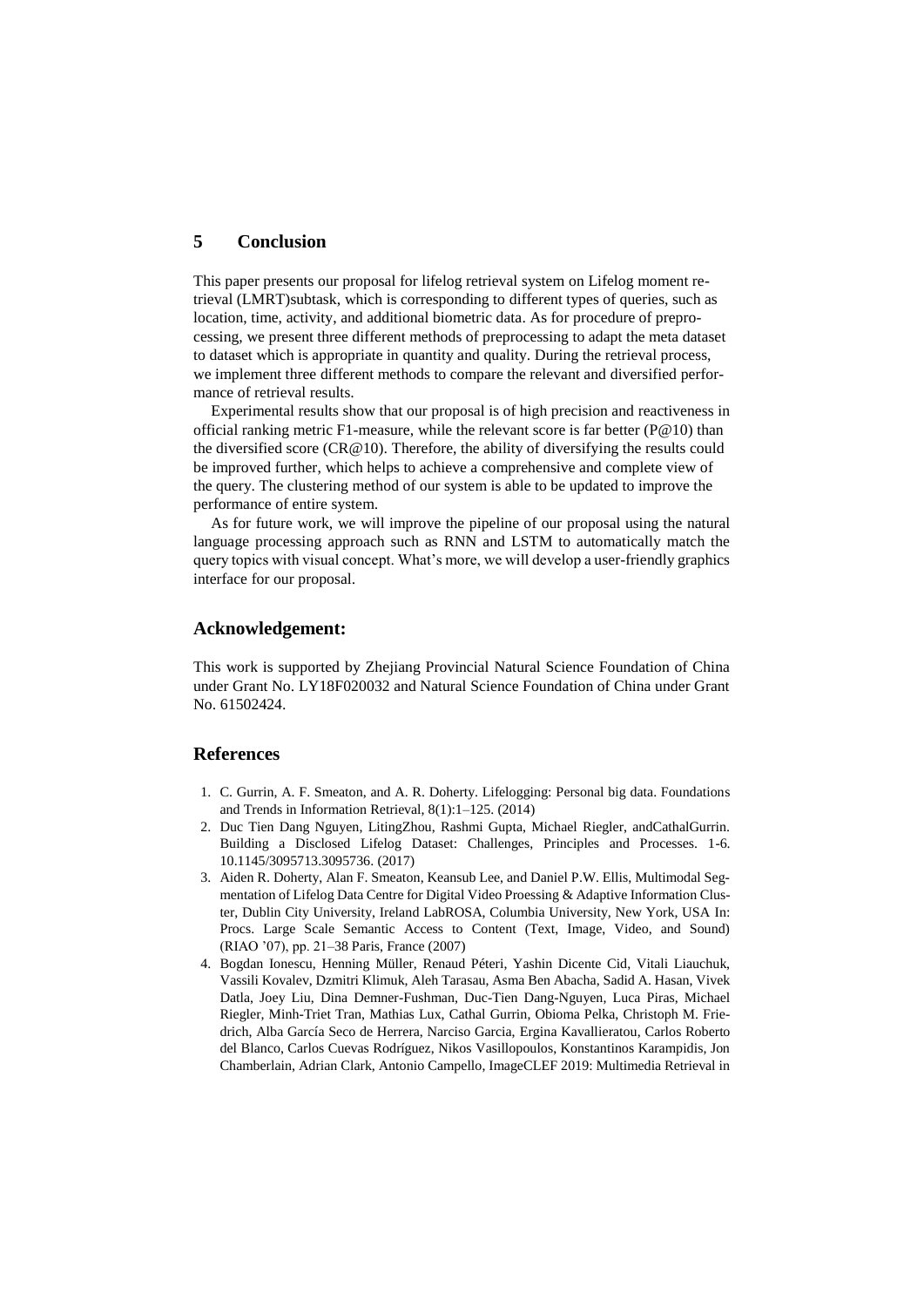### **5 Conclusion**

This paper presents our proposal for lifelog retrieval system on Lifelog moment retrieval (LMRT)subtask, which is corresponding to different types of queries, such as location, time, activity, and additional biometric data. As for procedure of preprocessing, we present three different methods of preprocessing to adapt the meta dataset to dataset which is appropriate in [quantity](file:///C:/Users/å¨é¹é£/AppData/Local/Youdao/dict/Application/7.5.2.0/resultui/dict/) and [quality.](file:///C:/Users/å¨é¹é£/AppData/Local/Youdao/dict/Application/7.5.2.0/resultui/dict/) During the retrieval process, we implement three different methods to compare the relevant and diversified performance of retrieval results.

Experimental results show that our proposal is of high precision and [reactiveness](file:///C:/Users/å¨é¹é£/AppData/Local/Youdao/dict/Application/7.5.2.0/resultui/dict/) in official ranking metric F1-measure, while the relevant score is far better ( $P@10$ ) than the diversified score ( $CR@10$ ). Therefore, the ability of diversifying the results could be improved further, which helps to achieve a comprehensive and complete view of the query. The clustering method of our system is able to be updated to improve the performance of entire system.

As for future work, we will improve the pipeline of our proposal using the natural language processing approach such as RNN and LSTM to automatically match the query topics with visual concept. What's more, we will develop a user-friendly graphics interface for our proposal.

### **Acknowledgement:**

This work is supported by Zhejiang Provincial Natural Science Foundation of China under Grant No. LY18F020032 and Natural Science Foundation of China under Grant No. 61502424.

## **References**

- 1. C. Gurrin, A. F. Smeaton, and A. R. Doherty. Lifelogging: Personal big data. Foundations and Trends in Information Retrieval, 8(1):1–125. (2014)
- 2. Duc Tien Dang Nguyen, LitingZhou, Rashmi Gupta, Michael Riegler, andCathalGurrin. Building a Disclosed Lifelog Dataset: Challenges, Principles and Processes. 1-6. 10.1145/3095713.3095736. (2017)
- 3. Aiden R. Doherty, Alan F. Smeaton, Keansub Lee, and Daniel P.W. Ellis, Multimodal Segmentation of Lifelog Data Centre for Digital Video Proessing & Adaptive Information Cluster, Dublin City University, Ireland LabROSA, Columbia University, New York, USA In: Procs. Large Scale Semantic Access to Content (Text, Image, Video, and Sound) (RIAO '07), pp. 21–38 Paris, France (2007)
- 4. Bogdan Ionescu, Henning Müller, Renaud Péteri, Yashin Dicente Cid, Vitali Liauchuk, Vassili Kovalev, Dzmitri Klimuk, Aleh Tarasau, Asma Ben Abacha, Sadid A. Hasan, Vivek Datla, Joey Liu, Dina Demner-Fushman, Duc-Tien Dang-Nguyen, Luca Piras, Michael Riegler, Minh-Triet Tran, Mathias Lux, Cathal Gurrin, Obioma Pelka, Christoph M. Friedrich, Alba García Seco de Herrera, Narciso Garcia, Ergina Kavallieratou, Carlos Roberto del Blanco, Carlos Cuevas Rodríguez, Nikos Vasillopoulos, Konstantinos Karampidis, Jon Chamberlain, Adrian Clark, Antonio Campello, ImageCLEF 2019: Multimedia Retrieval in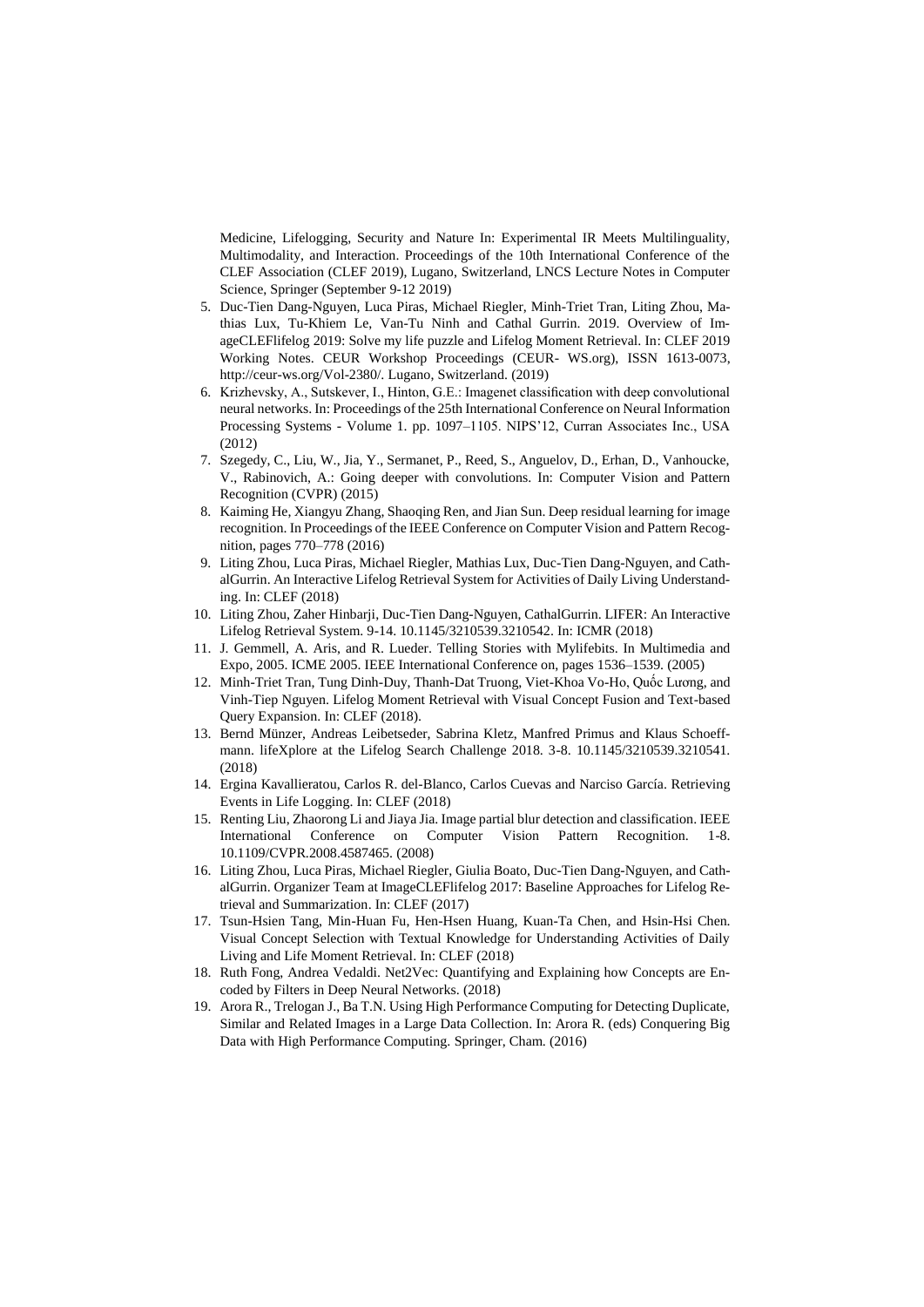Medicine, Lifelogging, Security and Nature In: Experimental IR Meets Multilinguality, Multimodality, and Interaction. Proceedings of the 10th International Conference of the CLEF Association (CLEF 2019), Lugano, Switzerland, LNCS Lecture Notes in Computer Science, Springer (September 9-12 2019)

- 5. Duc-Tien Dang-Nguyen, Luca Piras, Michael Riegler, Minh-Triet Tran, Liting Zhou, Mathias Lux, Tu-Khiem Le, Van-Tu Ninh and Cathal Gurrin. 2019. Overview of ImageCLEFlifelog 2019: Solve my life puzzle and Lifelog Moment Retrieval. In: CLEF 2019 Working Notes. CEUR Workshop Proceedings (CEUR- WS.org), ISSN 1613-0073, http://ceur-ws.org/Vol-2380/. Lugano, Switzerland. (2019)
- 6. Krizhevsky, A., Sutskever, I., Hinton, G.E.: Imagenet classification with deep convolutional neural networks. In: Proceedings of the 25th International Conference on Neural Information Processing Systems - Volume 1. pp. 1097–1105. NIPS'12, Curran Associates Inc., USA (2012)
- 7. Szegedy, C., Liu, W., Jia, Y., Sermanet, P., Reed, S., Anguelov, D., Erhan, D., Vanhoucke, V., Rabinovich, A.: Going deeper with convolutions. In: Computer Vision and Pattern Recognition (CVPR) (2015)
- 8. Kaiming He, Xiangyu Zhang, Shaoqing Ren, and Jian Sun. Deep residual learning for image recognition. In Proceedings of the IEEE Conference on Computer Vision and Pattern Recognition, pages 770–778 (2016)
- 9. Liting Zhou, Luca Piras, Michael Riegler, Mathias Lux, Duc-Tien Dang-Nguyen, and CathalGurrin. An Interactive Lifelog Retrieval System for Activities of Daily Living Understanding. In: CLEF (2018)
- 10. Liting Zhou, Zaher Hinbarji, Duc-Tien Dang-Nguyen, CathalGurrin. LIFER: An Interactive Lifelog Retrieval System. 9-14. 10.1145/3210539.3210542. In: ICMR (2018)
- 11. J. Gemmell, A. Aris, and R. Lueder. Telling Stories with Mylifebits. In Multimedia and Expo, 2005. ICME 2005. IEEE International Conference on, pages 1536–1539. (2005)
- 12. Minh-Triet Tran, Tung Dinh-Duy, Thanh-Dat Truong, Viet-Khoa Vo-Ho, Quốc Lương, and Vinh-Tiep Nguyen. Lifelog Moment Retrieval with Visual Concept Fusion and Text-based Query Expansion. In: CLEF (2018).
- 13. Bernd Münzer, Andreas Leibetseder, Sabrina Kletz, Manfred Primus and Klaus Schoeffmann. lifeXplore at the Lifelog Search Challenge 2018. 3-8. 10.1145/3210539.3210541. (2018)
- 14. Ergina Kavallieratou, Carlos R. del-Blanco, Carlos Cuevas and Narciso García. Retrieving Events in Life Logging. In: CLEF (2018)
- 15. Renting Liu, Zhaorong Li and Jiaya Jia. Image partial blur detection and classification. IEEE International Conference on Computer Vision Pattern Recognition. 1-8. 10.1109/CVPR.2008.4587465. (2008)
- 16. Liting Zhou, Luca Piras, Michael Riegler, Giulia Boato, Duc-Tien Dang-Nguyen, and CathalGurrin. Organizer Team at ImageCLEFlifelog 2017: Baseline Approaches for Lifelog Retrieval and Summarization. In: CLEF (2017)
- 17. Tsun-Hsien Tang, Min-Huan Fu, Hen-Hsen Huang, Kuan-Ta Chen, and Hsin-Hsi Chen. Visual Concept Selection with Textual Knowledge for Understanding Activities of Daily Living and Life Moment Retrieval. In: CLEF (2018)
- 18. Ruth Fong, Andrea Vedaldi. Net2Vec: Quantifying and Explaining how Concepts are Encoded by Filters in Deep Neural Networks. (2018)
- 19. Arora R., Trelogan J., Ba T.N. Using High Performance Computing for Detecting Duplicate, Similar and Related Images in a Large Data Collection. In: Arora R. (eds) Conquering Big Data with High Performance Computing. Springer, Cham. (2016)